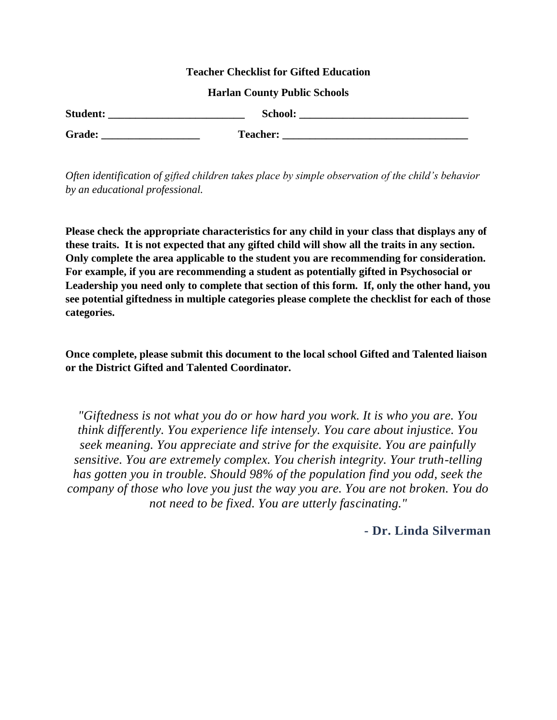#### **Teacher Checklist for Gifted Education**

#### **Harlan County Public Schools**

| <b>Student:</b> | School:         |
|-----------------|-----------------|
| Grade:          | <b>Teacher:</b> |

*Often identification of gifted children takes place by simple observation of the child's behavior by an educational professional.*

**Please check the appropriate characteristics for any child in your class that displays any of these traits. It is not expected that any gifted child will show all the traits in any section. Only complete the area applicable to the student you are recommending for consideration. For example, if you are recommending a student as potentially gifted in Psychosocial or Leadership you need only to complete that section of this form. If, only the other hand, you see potential giftedness in multiple categories please complete the checklist for each of those categories.**

**Once complete, please submit this document to the local school Gifted and Talented liaison or the District Gifted and Talented Coordinator.**

*"Giftedness is not what you do or how hard you work. It is who you are. You think differently. You experience life intensely. You care about injustice. You seek meaning. You appreciate and strive for the exquisite. You are painfully sensitive. You are extremely complex. You cherish integrity. Your truth-telling has gotten you in trouble. Should 98% of the population find you odd, seek the company of those who love you just the way you are. You are not broken. You do not need to be fixed. You are utterly fascinating."* 

## **- Dr. Linda Silverman**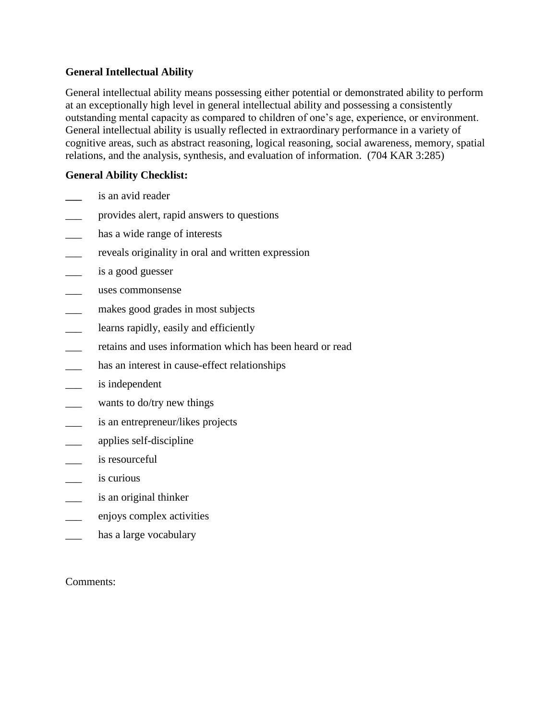## **General Intellectual Ability**

General intellectual ability means possessing either potential or demonstrated ability to perform at an exceptionally high level in general intellectual ability and possessing a consistently outstanding mental capacity as compared to children of one's age, experience, or environment. General intellectual ability is usually reflected in extraordinary performance in a variety of cognitive areas, such as abstract reasoning, logical reasoning, social awareness, memory, spatial relations, and the analysis, synthesis, and evaluation of information. (704 KAR 3:285)

# **General Ability Checklist:**

- **\_\_\_** is an avid reader
- \_\_\_ provides alert, rapid answers to questions
- \_\_\_ has a wide range of interests
- \_\_\_ reveals originality in oral and written expression
- \_\_\_ is a good guesser
- \_\_\_ uses commonsense
- makes good grades in most subjects
- learns rapidly, easily and efficiently
- retains and uses information which has been heard or read
- has an interest in cause-effect relationships
- is independent
- wants to do/try new things
- is an entrepreneur/likes projects
- applies self-discipline
- is resourceful
- is curious
- is an original thinker
- \_\_\_ enjoys complex activities
- has a large vocabulary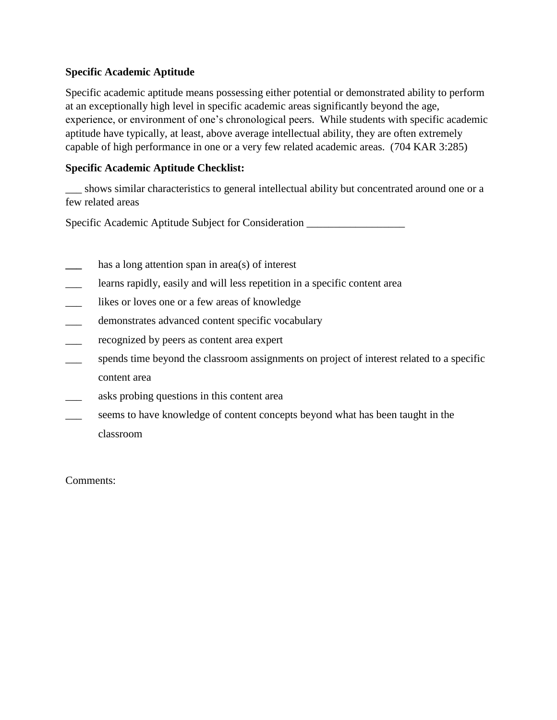# **Specific Academic Aptitude**

Specific academic aptitude means possessing either potential or demonstrated ability to perform at an exceptionally high level in specific academic areas significantly beyond the age, experience, or environment of one's chronological peers. While students with specific academic aptitude have typically, at least, above average intellectual ability, they are often extremely capable of high performance in one or a very few related academic areas. (704 KAR 3:285)

# **Specific Academic Aptitude Checklist:**

\_\_\_ shows similar characteristics to general intellectual ability but concentrated around one or a few related areas

Specific Academic Aptitude Subject for Consideration \_\_\_\_\_\_\_\_\_\_\_\_\_\_\_\_\_\_\_\_\_\_\_\_\_\_\_

- has a long attention span in area(s) of interest
- learns rapidly, easily and will less repetition in a specific content area
- \_\_\_ likes or loves one or a few areas of knowledge
- \_\_\_ demonstrates advanced content specific vocabulary
- \_\_\_ recognized by peers as content area expert
- spends time beyond the classroom assignments on project of interest related to a specific content area
- \_\_\_ asks probing questions in this content area
- seems to have knowledge of content concepts beyond what has been taught in the classroom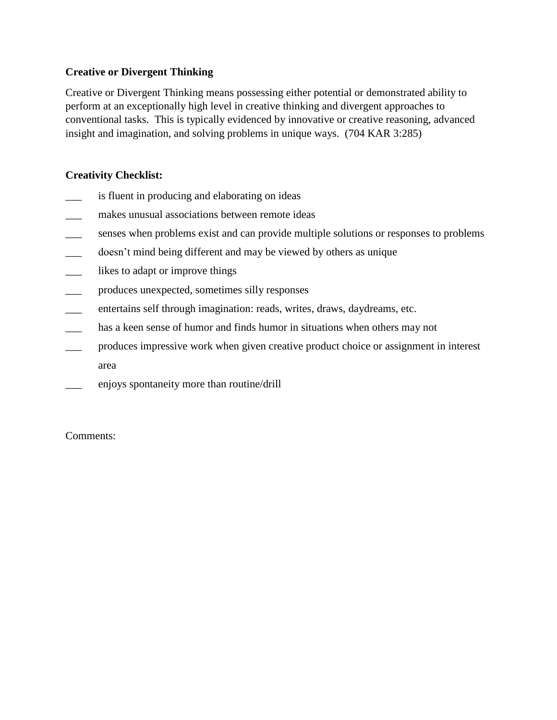# **Creative or Divergent Thinking**

Creative or Divergent Thinking means possessing either potential or demonstrated ability to perform at an exceptionally high level in creative thinking and divergent approaches to conventional tasks. This is typically evidenced by innovative or creative reasoning, advanced insight and imagination, and solving problems in unique ways. (704 KAR 3:285)

# **Creativity Checklist:**

- is fluent in producing and elaborating on ideas
- \_\_\_ makes unusual associations between remote ideas
- \_\_\_ senses when problems exist and can provide multiple solutions or responses to problems
- \_\_\_ doesn't mind being different and may be viewed by others as unique
- \_\_\_ likes to adapt or improve things
- \_\_\_ produces unexpected, sometimes silly responses
- entertains self through imagination: reads, writes, draws, daydreams, etc.
- \_\_\_ has a keen sense of humor and finds humor in situations when others may not
- produces impressive work when given creative product choice or assignment in interest area
- enjoys spontaneity more than routine/drill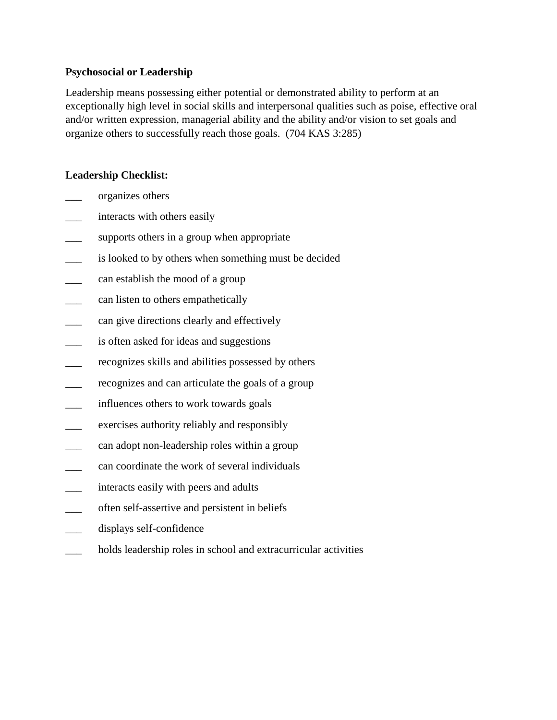## **Psychosocial or Leadership**

Leadership means possessing either potential or demonstrated ability to perform at an exceptionally high level in social skills and interpersonal qualities such as poise, effective oral and/or written expression, managerial ability and the ability and/or vision to set goals and organize others to successfully reach those goals. (704 KAS 3:285)

# **Leadership Checklist:**

- \_\_\_ organizes others
- interacts with others easily
- supports others in a group when appropriate
- is looked to by others when something must be decided
- can establish the mood of a group
- can listen to others empathetically
- can give directions clearly and effectively
- is often asked for ideas and suggestions
- recognizes skills and abilities possessed by others
- recognizes and can articulate the goals of a group
- influences others to work towards goals
- \_\_\_ exercises authority reliably and responsibly
- \_\_\_ can adopt non-leadership roles within a group
- can coordinate the work of several individuals
- interacts easily with peers and adults
- \_\_\_ often self-assertive and persistent in beliefs
- displays self-confidence
- holds leadership roles in school and extracurricular activities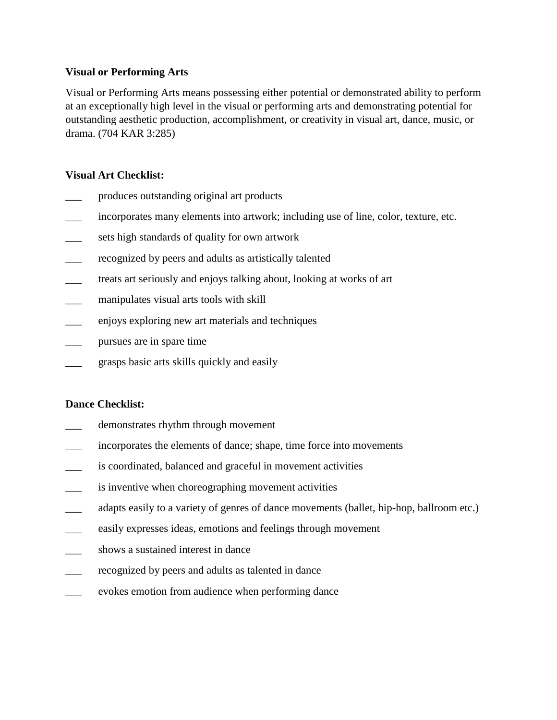### **Visual or Performing Arts**

Visual or Performing Arts means possessing either potential or demonstrated ability to perform at an exceptionally high level in the visual or performing arts and demonstrating potential for outstanding aesthetic production, accomplishment, or creativity in visual art, dance, music, or drama. (704 KAR 3:285)

### **Visual Art Checklist:**

- \_\_\_ produces outstanding original art products
- incorporates many elements into artwork; including use of line, color, texture, etc.
- sets high standards of quality for own artwork
- recognized by peers and adults as artistically talented
- \_\_\_ treats art seriously and enjoys talking about, looking at works of art
- manipulates visual arts tools with skill
- \_\_\_ enjoys exploring new art materials and techniques
- \_\_\_ pursues are in spare time
- \_\_\_ grasps basic arts skills quickly and easily

#### **Dance Checklist:**

- demonstrates rhythm through movement
- \_\_\_ incorporates the elements of dance; shape, time force into movements
- is coordinated, balanced and graceful in movement activities
- is inventive when choreographing movement activities
- adapts easily to a variety of genres of dance movements (ballet, hip-hop, ballroom etc.)
- easily expresses ideas, emotions and feelings through movement
- shows a sustained interest in dance
- recognized by peers and adults as talented in dance
- \_\_\_ evokes emotion from audience when performing dance